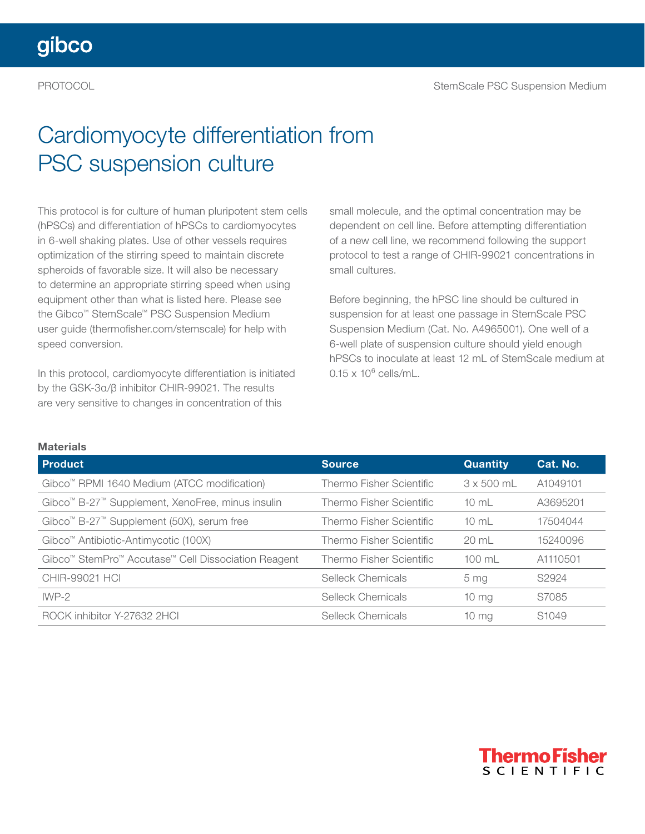## Cardiomyocyte differentiation from PSC suspension culture

This protocol is for culture of human pluripotent stem cells (hPSCs) and differentiation of hPSCs to cardiomyocytes in 6-well shaking plates. Use of other vessels requires optimization of the stirring speed to maintain discrete spheroids of favorable size. It will also be necessary to determine an appropriate stirring speed when using equipment other than what is listed here. Please see the Gibco™ StemScale™ PSC Suspension Medium user guide ([thermofisher.com/stemscale](http://thermofisher.com/stemscale)) for help with speed conversion.

In this protocol, cardiomyocyte differentiation is initiated by the GSK-3α/β inhibitor CHIR-99021. The results are very sensitive to changes in concentration of this

small molecule, and the optimal concentration may be dependent on cell line. Before attempting differentiation of a new cell line, we recommend following the support protocol to test a range of CHIR-99021 concentrations in small cultures.

Before beginning, the hPSC line should be cultured in suspension for at least one passage in StemScale PSC Suspension Medium (Cat. No. A4965001). One well of a 6-well plate of suspension culture should yield enough hPSCs to inoculate at least 12 mL of StemScale medium at  $0.15 \times 10^6$  cells/mL.

#### **Materials**

| <b>Product</b>                                                           | <b>Source</b>                   | <b>Quantity</b>   | Cat. No.          |
|--------------------------------------------------------------------------|---------------------------------|-------------------|-------------------|
| Gibco <sup>™</sup> RPMI 1640 Medium (ATCC modification)                  | Thermo Fisher Scientific        | $3 \times 500$ mL | A1049101          |
| Gibco <sup>™</sup> B-27 <sup>™</sup> Supplement, XenoFree, minus insulin | Thermo Fisher Scientific        | $10 \text{ mL}$   | A3695201          |
| Gibco <sup>™</sup> B-27 <sup>™</sup> Supplement (50X), serum free        | Thermo Fisher Scientific        | $10 \text{ mL}$   | 17504044          |
| Gibco <sup>™</sup> Antibiotic-Antimycotic (100X)                         | <b>Thermo Fisher Scientific</b> | 20 mL             | 15240096          |
| Gibco <sup>™</sup> StemPro™ Accutase™ Cell Dissociation Reagent          | Thermo Fisher Scientific        | $100 \text{ ml}$  | A1110501          |
| <b>CHIR-99021 HCI</b>                                                    | Selleck Chemicals               | 5 <sub>mg</sub>   | S2924             |
| $IWP-2$                                                                  | <b>Selleck Chemicals</b>        | $10 \, mg$        | S7085             |
| ROCK inhibitor Y-27632 2HCL                                              | Selleck Chemicals               | 10 <sub>mg</sub>  | S <sub>1049</sub> |

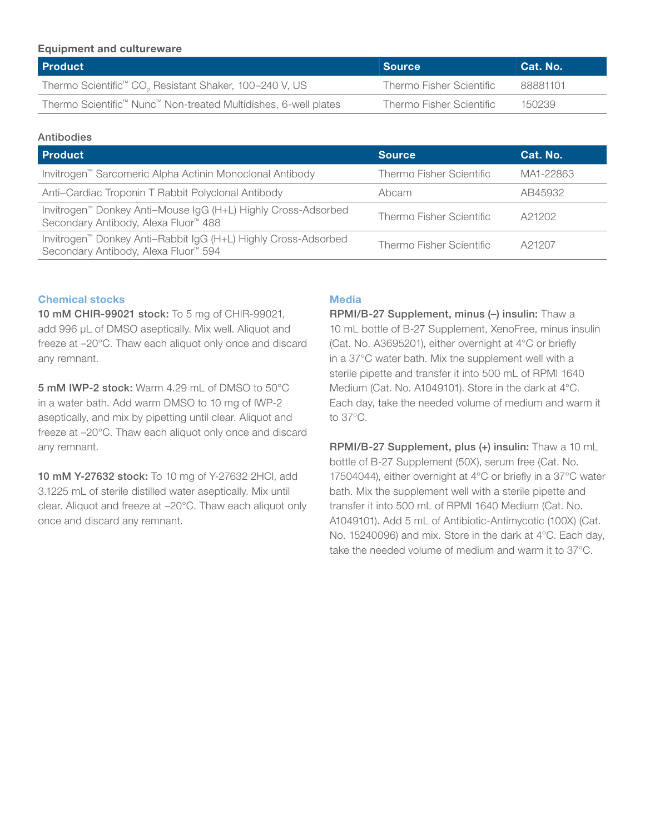#### Equipment and cultureware

| <b>Product</b>                                                                          | <b>Source</b>            | Cat. No. |
|-----------------------------------------------------------------------------------------|--------------------------|----------|
| Thermo Scientific <sup>™</sup> CO <sub>2</sub> Resistant Shaker, 100-240 V, US          | Thermo Fisher Scientific | 88881101 |
| Thermo Scientific <sup>™</sup> Nunc <sup>™</sup> Non-treated Multidishes, 6-well plates | Thermo Fisher Scientific | 150239   |

#### Antibodies

| <b>Product</b>                                                                                                                 | <b>Source</b>            | Cat. No.  |
|--------------------------------------------------------------------------------------------------------------------------------|--------------------------|-----------|
| Invitrogen <sup>™</sup> Sarcomeric Alpha Actinin Monoclonal Antibody                                                           | Thermo Fisher Scientific | MA1-22863 |
| Anti-Cardiac Troponin T Rabbit Polyclonal Antibody                                                                             | Abcam                    | AB45932   |
| Invitrogen <sup>™</sup> Donkey Anti-Mouse IgG (H+L) Highly Cross-Adsorbed<br>Secondary Antibody, Alexa Fluor <sup>™</sup> 488  | Thermo Fisher Scientific | A21202    |
| Invitrogen <sup>™</sup> Donkey Anti-Rabbit IgG (H+L) Highly Cross-Adsorbed<br>Secondary Antibody, Alexa Fluor <sup>™</sup> 594 | Thermo Fisher Scientific | A21207    |

#### Chemical stocks

10 mM CHIR-99021 stock: To 5 mg of CHIR-99021, add 996 µL of DMSO aseptically. Mix well. Aliquot and freeze at –20°C. Thaw each aliquot only once and discard any remnant.

5 mM IWP-2 stock: Warm 4.29 mL of DMSO to 50°C in a water bath. Add warm DMSO to 10 mg of IWP-2 aseptically, and mix by pipetting until clear. Aliquot and freeze at –20°C. Thaw each aliquot only once and discard any remnant.

10 mM Y-27632 stock: To 10 mg of Y-27632 2HCl, add 3.1225 mL of sterile distilled water aseptically. Mix until clear. Aliquot and freeze at –20°C. Thaw each aliquot only once and discard any remnant.

#### **Media**

RPMI/B-27 Supplement, minus (–) insulin: Thaw a 10 mL bottle of B-27 Supplement, XenoFree, minus insulin (Cat. No. A3695201), either overnight at 4°C or briefly in a 37°C water bath. Mix the supplement well with a sterile pipette and transfer it into 500 mL of RPMI 1640 Medium (Cat. No. A1049101). Store in the dark at 4°C. Each day, take the needed volume of medium and warm it to 37°C.

RPMI/B-27 Supplement, plus (+) insulin: Thaw a 10 mL bottle of B-27 Supplement (50X), serum free (Cat. No. 17504044), either overnight at 4°C or briefly in a 37°C water bath. Mix the supplement well with a sterile pipette and transfer it into 500 mL of RPMI 1640 Medium (Cat. No. A1049101). Add 5 mL of Antibiotic-Antimycotic (100X) (Cat. No. 15240096) and mix. Store in the dark at 4°C. Each day, take the needed volume of medium and warm it to 37°C.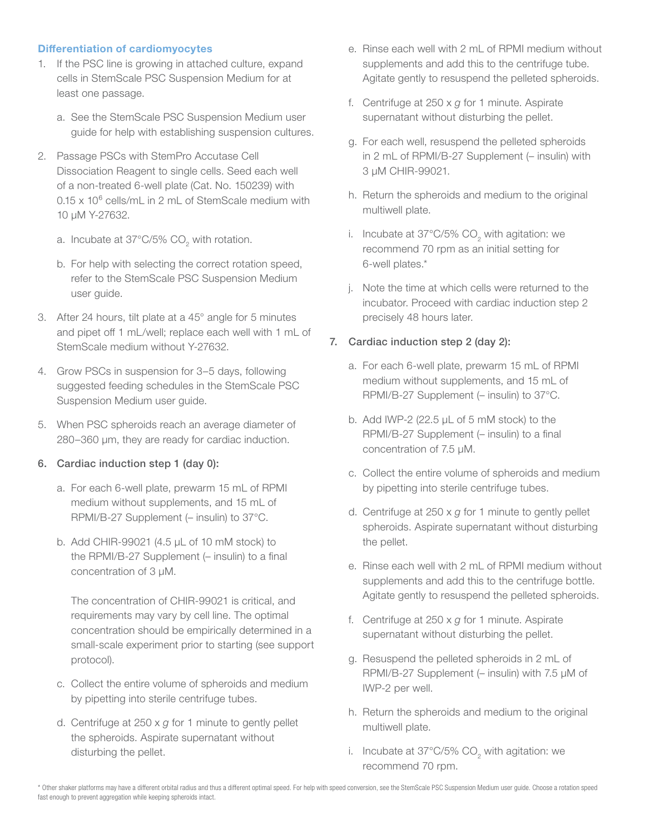#### Differentiation of cardiomyocytes

- 1. If the PSC line is growing in attached culture, expand cells in StemScale PSC Suspension Medium for at least one passage.
	- a. See the StemScale PSC Suspension Medium user guide for help with establishing suspension cultures.
- 2. Passage PSCs with StemPro Accutase Cell Dissociation Reagent to single cells. Seed each well of a non-treated 6-well plate (Cat. No. 150239) with 0.15 x 10<sup>6</sup> cells/mL in 2 mL of StemScale medium with 10 µM Y-27632.
	- a. Incubate at 37°C/5% CO<sub>2</sub> with rotation.
	- b. For help with selecting the correct rotation speed, refer to the StemScale PSC Suspension Medium user guide.
- 3. After 24 hours, tilt plate at a 45° angle for 5 minutes and pipet off 1 mL/well; replace each well with 1 mL of StemScale medium without Y-27632.
- 4. Grow PSCs in suspension for 3–5 days, following suggested feeding schedules in the StemScale PSC Suspension Medium user guide.
- 5. When PSC spheroids reach an average diameter of 280–360 µm, they are ready for cardiac induction.

#### 6. Cardiac induction step 1 (day 0):

- a. For each 6-well plate, prewarm 15 mL of RPMI medium without supplements, and 15 mL of RPMI/B-27 Supplement (– insulin) to 37°C.
- b. Add CHIR-99021 (4.5 µL of 10 mM stock) to the RPMI/B-27 Supplement (– insulin) to a final concentration of 3 µM.

The concentration of CHIR-99021 is critical, and requirements may vary by cell line. The optimal concentration should be empirically determined in a small-scale experiment prior to starting (see support protocol).

- c. Collect the entire volume of spheroids and medium by pipetting into sterile centrifuge tubes.
- d. Centrifuge at 250 x *g* for 1 minute to gently pellet the spheroids. Aspirate supernatant without disturbing the pellet.
- e. Rinse each well with 2 mL of RPMI medium without supplements and add this to the centrifuge tube. Agitate gently to resuspend the pelleted spheroids.
- f. Centrifuge at 250 x *g* for 1 minute. Aspirate supernatant without disturbing the pellet.
- g. For each well, resuspend the pelleted spheroids in 2 mL of RPMI/B-27 Supplement (– insulin) with 3 µM CHIR-99021.
- h. Return the spheroids and medium to the original multiwell plate.
- i. Incubate at 37°C/5% CO<sub>2</sub> with agitation: we recommend 70 rpm as an initial setting for 6-well plates.\*
- j. Note the time at which cells were returned to the incubator. Proceed with cardiac induction step 2 precisely 48 hours later.

#### 7. Cardiac induction step 2 (day 2):

- a. For each 6-well plate, prewarm 15 mL of RPMI medium without supplements, and 15 mL of RPMI/B-27 Supplement (– insulin) to 37°C.
- b. Add IWP-2 (22.5 µL of 5 mM stock) to the RPMI/B-27 Supplement (– insulin) to a final concentration of 7.5 µM.
- c. Collect the entire volume of spheroids and medium by pipetting into sterile centrifuge tubes.
- d. Centrifuge at 250 x *g* for 1 minute to gently pellet spheroids. Aspirate supernatant without disturbing the pellet.
- e. Rinse each well with 2 mL of RPMI medium without supplements and add this to the centrifuge bottle. Agitate gently to resuspend the pelleted spheroids.
- f. Centrifuge at 250 x *g* for 1 minute. Aspirate supernatant without disturbing the pellet.
- g. Resuspend the pelleted spheroids in 2 mL of RPMI/B-27 Supplement (– insulin) with 7.5 µM of IWP-2 per well.
- h. Return the spheroids and medium to the original multiwell plate.
- i. Incubate at 37°C/5% CO<sub>2</sub> with agitation: we recommend 70 rpm.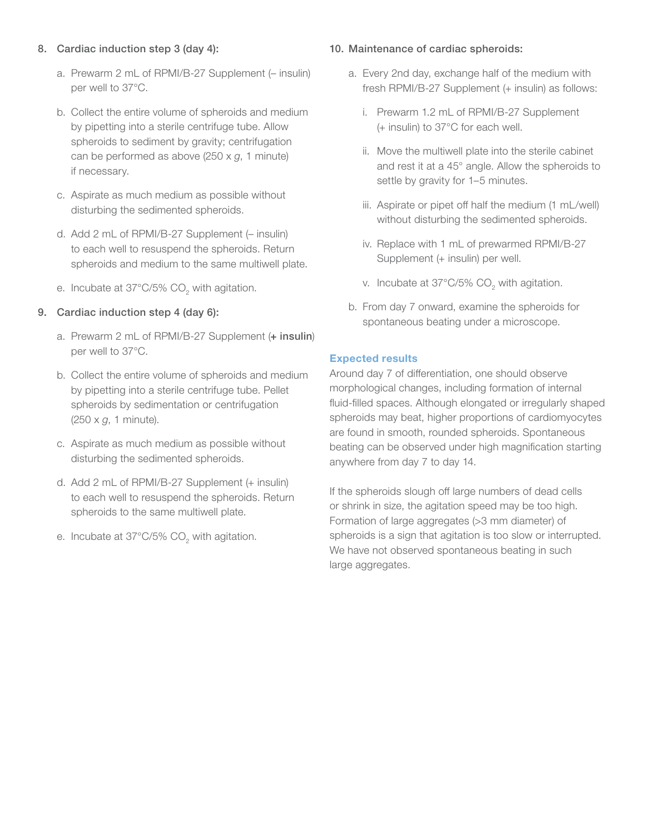#### 8. Cardiac induction step 3 (day 4):

- a. Prewarm 2 mL of RPMI/B-27 Supplement (– insulin) per well to 37°C.
- b. Collect the entire volume of spheroids and medium by pipetting into a sterile centrifuge tube. Allow spheroids to sediment by gravity; centrifugation can be performed as above (250 x *g*, 1 minute) if necessary.
- c. Aspirate as much medium as possible without disturbing the sedimented spheroids.
- d. Add 2 mL of RPMI/B-27 Supplement (– insulin) to each well to resuspend the spheroids. Return spheroids and medium to the same multiwell plate.
- e. Incubate at 37°C/5% CO<sub>2</sub> with agitation.

#### 9. Cardiac induction step 4 (day 6):

- a. Prewarm 2 mL of RPMI/B-27 Supplement (+ insulin) per well to 37°C.
- b. Collect the entire volume of spheroids and medium by pipetting into a sterile centrifuge tube. Pellet spheroids by sedimentation or centrifugation (250 x *g*, 1 minute).
- c. Aspirate as much medium as possible without disturbing the sedimented spheroids.
- d. Add 2 mL of RPMI/B-27 Supplement (+ insulin) to each well to resuspend the spheroids. Return spheroids to the same multiwell plate.
- e. Incubate at 37°C/5% CO<sub>2</sub> with agitation.

#### 10. Maintenance of cardiac spheroids:

- a. Every 2nd day, exchange half of the medium with fresh RPMI/B-27 Supplement (+ insulin) as follows:
	- i. Prewarm 1.2 mL of RPMI/B-27 Supplement (+ insulin) to 37°C for each well.
	- ii. Move the multiwell plate into the sterile cabinet and rest it at a 45° angle. Allow the spheroids to settle by gravity for 1–5 minutes.
	- iii. Aspirate or pipet off half the medium (1 mL/well) without disturbing the sedimented spheroids.
	- iv. Replace with 1 mL of prewarmed RPMI/B-27 Supplement (+ insulin) per well.
	- v. Incubate at 37°C/5% CO<sub>2</sub> with agitation.
- b. From day 7 onward, examine the spheroids for spontaneous beating under a microscope.

#### Expected results

Around day 7 of differentiation, one should observe morphological changes, including formation of internal fluid-filled spaces. Although elongated or irregularly shaped spheroids may beat, higher proportions of cardiomyocytes are found in smooth, rounded spheroids. Spontaneous beating can be observed under high magnification starting anywhere from day 7 to day 14.

If the spheroids slough off large numbers of dead cells or shrink in size, the agitation speed may be too high. Formation of large aggregates (>3 mm diameter) of spheroids is a sign that agitation is too slow or interrupted. We have not observed spontaneous beating in such large aggregates.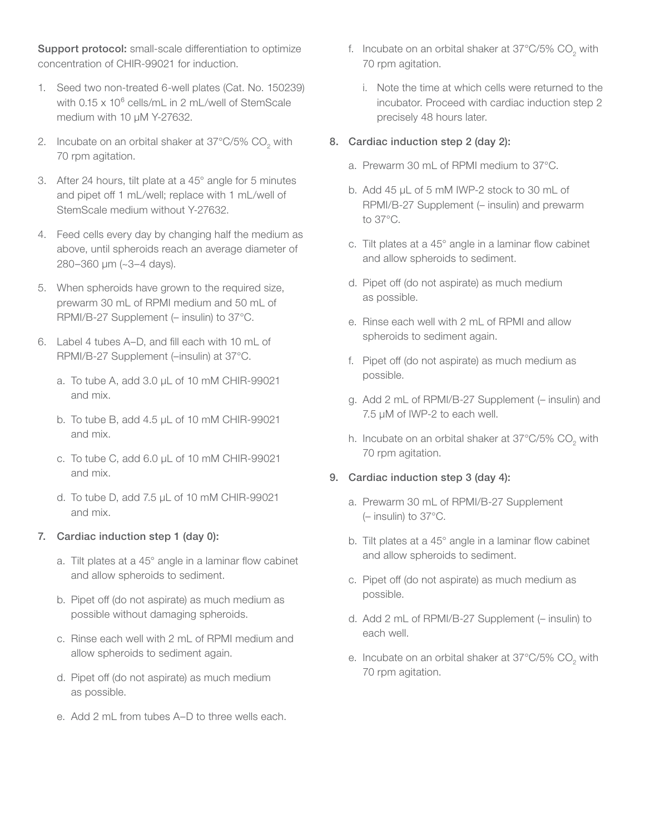Support protocol: small-scale differentiation to optimize concentration of CHIR-99021 for induction.

- 1. Seed two non-treated 6-well plates (Cat. No. 150239) with 0.15 x 10<sup>6</sup> cells/mL in 2 mL/well of StemScale medium with 10 uM Y-27632.
- 2. Incubate on an orbital shaker at 37°C/5% CO<sub>2</sub> with 70 rpm agitation.
- 3. After 24 hours, tilt plate at a 45° angle for 5 minutes and pipet off 1 mL/well; replace with 1 mL/well of StemScale medium without Y-27632.
- 4. Feed cells every day by changing half the medium as above, until spheroids reach an average diameter of 280–360 µm (~3–4 days).
- 5. When spheroids have grown to the required size, prewarm 30 mL of RPMI medium and 50 mL of RPMI/B-27 Supplement (– insulin) to 37°C.
- 6. Label 4 tubes A–D, and fill each with 10 mL of RPMI/B-27 Supplement (–insulin) at 37°C.
	- a. To tube A, add 3.0 µL of 10 mM CHIR-99021 and mix.
	- b. To tube B, add 4.5 µL of 10 mM CHIR-99021 and mix.
	- c. To tube C, add 6.0 µL of 10 mM CHIR-99021 and mix.
	- d. To tube D, add 7.5 µL of 10 mM CHIR-99021 and mix.

#### 7. Cardiac induction step 1 (day 0):

- a. Tilt plates at a 45° angle in a laminar flow cabinet and allow spheroids to sediment.
- b. Pipet off (do not aspirate) as much medium as possible without damaging spheroids.
- c. Rinse each well with 2 mL of RPMI medium and allow spheroids to sediment again.
- d. Pipet off (do not aspirate) as much medium as possible.
- e. Add 2 mL from tubes A–D to three wells each.
- f. Incubate on an orbital shaker at 37°C/5% CO<sub>2</sub> with 70 rpm agitation.
	- i. Note the time at which cells were returned to the incubator. Proceed with cardiac induction step 2 precisely 48 hours later.

#### 8. Cardiac induction step 2 (day 2):

- a. Prewarm 30 mL of RPMI medium to 37°C.
- b. Add 45 µL of 5 mM IWP-2 stock to 30 mL of RPMI/B-27 Supplement (– insulin) and prewarm to 37°C.
- c. Tilt plates at a 45° angle in a laminar flow cabinet and allow spheroids to sediment.
- d. Pipet off (do not aspirate) as much medium as possible.
- e. Rinse each well with 2 mL of RPMI and allow spheroids to sediment again.
- f. Pipet off (do not aspirate) as much medium as possible.
- g. Add 2 mL of RPMI/B-27 Supplement (– insulin) and 7.5 µM of IWP-2 to each well.
- h. Incubate on an orbital shaker at 37°C/5% CO<sub>2</sub> with 70 rpm agitation.

#### 9. Cardiac induction step 3 (day 4):

- a. Prewarm 30 mL of RPMI/B-27 Supplement (– insulin) to 37°C.
- b. Tilt plates at a 45° angle in a laminar flow cabinet and allow spheroids to sediment.
- c. Pipet off (do not aspirate) as much medium as possible.
- d. Add 2 mL of RPMI/B-27 Supplement (– insulin) to each well.
- e. Incubate on an orbital shaker at 37°C/5% CO<sub>2</sub> with 70 rpm agitation.